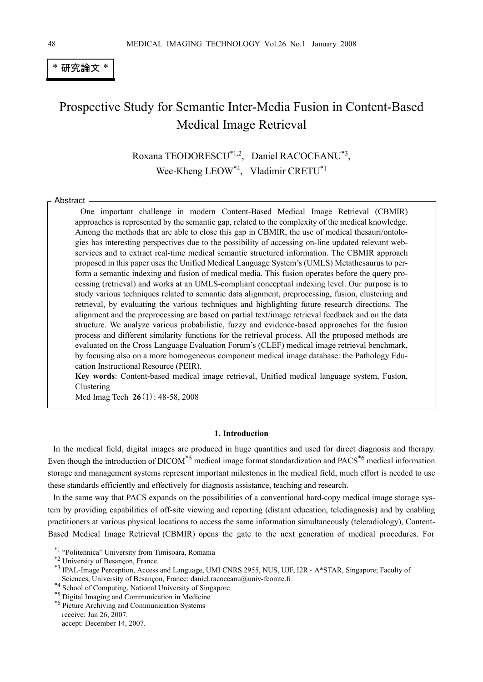## \* 研究論文 \*

# Prospective Study for Semantic Inter-Media Fusion in Content-Based Medical Image Retrieval

Roxana TEODORESCU\*1,2, Daniel RACOCEANU\*3, Wee-Kheng LEOW\*4, Vladimir CRETU\*1

Abstract

One important challenge in modern Content-Based Medical Image Retrieval (CBMIR) approaches is represented by the semantic gap, related to the complexity of the medical knowledge. Among the methods that are able to close this gap in CBMIR, the use of medical thesauri/ontologies has interesting perspectives due to the possibility of accessing on-line updated relevant webservices and to extract real-time medical semantic structured information. The CBMIR approach proposed in this paper uses the Unified Medical Language System's (UMLS) Metathesaurus to perform a semantic indexing and fusion of medical media. This fusion operates before the query processing (retrieval) and works at an UMLS-compliant conceptual indexing level. Our purpose is to study various techniques related to semantic data alignment, preprocessing, fusion, clustering and retrieval, by evaluating the various techniques and highlighting future research directions. The alignment and the preprocessing are based on partial text/image retrieval feedback and on the data structure. We analyze various probabilistic, fuzzy and evidence-based approaches for the fusion process and different similarity functions for the retrieval process. All the proposed methods are evaluated on the Cross Language Evaluation Forum's (CLEF) medical image retrieval benchmark, by focusing also on a more homogeneous component medical image database: the Pathology Education Instructional Resource (PEIR).

**Key words**: Content-based medical image retrieval, Unified medical language system, Fusion, Clustering

Med Imag Tech **26**(1): 48-58, 2008

#### **1. Introduction**

In the medical field, digital images are produced in huge quantities and used for direct diagnosis and therapy. Even though the introduction of DICOM<sup>\*5</sup> medical image format standardization and PACS<sup>\*6</sup> medical information storage and management systems represent important milestones in the medical field, much effort is needed to use these standards efficiently and effectively for diagnosis assistance, teaching and research.

In the same way that PACS expands on the possibilities of a conventional hard-copy medical image storage system by providing capabilities of off-site viewing and reporting (distant education, telediagnosis) and by enabling practitioners at various physical locations to access the same information simultaneously (teleradiology), Content-Based Medical Image Retrieval (CBMIR) opens the gate to the next generation of medical procedures. For

<sup>\*&</sup>lt;sup>2</sup> University of Besançon, France

<sup>\*1 &</sup>quot;Politehnica" University from Timisoara, Romania<br>\*2 University of Besançon, France<br>\*3 IPAL-Image Perception, Access and Language, UMI CNRS 2955, NUS, UJF, I2R - A\*STAR, Singapore; Faculty of Sciences, University of Besançon, France: daniel.racoceanu@univ-fcomte.fr

<sup>&</sup>lt;sup>\*4</sup> School of Computing, National University of Singapore<br><sup>\*4</sup> School of Computing, National University of Singapore<br><sup>\*5</sup> Picture Archiving and Communication Systems

receive: Jun 26, 2007. accept: December 14, 2007.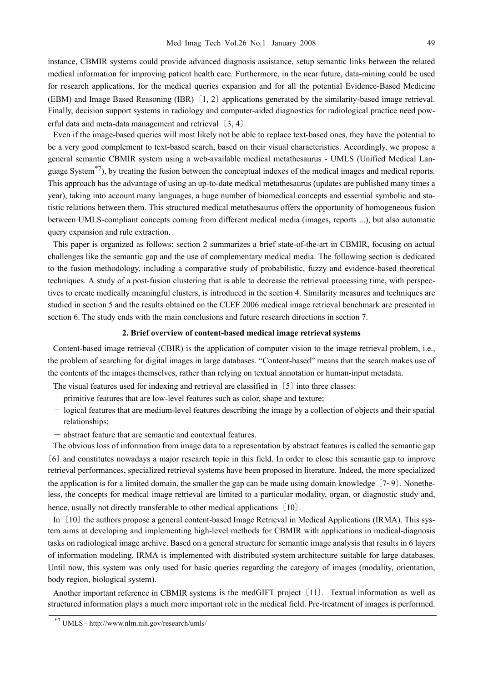instance, CBMIR systems could provide advanced diagnosis assistance, setup semantic links between the related medical information for improving patient health care. Furthermore, in the near future, data-mining could be used for research applications, for the medical queries expansion and for all the potential Evidence-Based Medicine (EBM) and Image Based Reasoning (IBR)〔1, 2〕 applications generated by the similarity-based image retrieval. Finally, decision support systems in radiology and computer-aided diagnostics for radiological practice need powerful data and meta-data management and retrieval〔3, 4〕.

Even if the image-based queries will most likely not be able to replace text-based ones, they have the potential to be a very good complement to text-based search, based on their visual characteristics. Accordingly, we propose a general semantic CBMIR system using a web-available medical metathesaurus - UMLS (Unified Medical Language System<sup> $\pi$ </sup>, by treating the fusion between the conceptual indexes of the medical images and medical reports. This approach has the advantage of using an up-to-date medical metathesaurus (updates are published many times a year), taking into account many languages, a huge number of biomedical concepts and essential symbolic and statistic relations between them. This structured medical metathesaurus offers the opportunity of homogeneous fusion between UMLS-compliant concepts coming from different medical media (images, reports ...), but also automatic query expansion and rule extraction.

This paper is organized as follows: section 2 summarizes a brief state-of-the-art in CBMIR, focusing on actual challenges like the semantic gap and the use of complementary medical media. The following section is dedicated to the fusion methodology, including a comparative study of probabilistic, fuzzy and evidence-based theoretical techniques. A study of a post-fusion clustering that is able to decrease the retrieval processing time, with perspectives to create medically meaningful clusters, is introduced in the section 4. Similarity measures and techniques are studied in section 5 and the results obtained on the CLEF 2006 medical image retrieval benchmark are presented in section 6. The study ends with the main conclusions and future research directions in section 7.

#### **2. Brief overview of content-based medical image retrieval systems**

Content-based image retrieval (CBIR) is the application of computer vision to the image retrieval problem, i.e., the problem of searching for digital images in large databases. "Content-based" means that the search makes use of the contents of the images themselves, rather than relying on textual annotation or human-input metadata.

The visual features used for indexing and retrieval are classified in〔5〕 into three classes:

- primitive features that are low-level features such as color, shape and texture;
- logical features that are medium-level features describing the image by a collection of objects and their spatial relationships;
- abstract feature that are semantic and contextual features.

The obvious loss of information from image data to a representation by abstract features is called the semantic gap 〔6〕 and constitutes nowadays a major research topic in this field. In order to close this semantic gap to improve retrieval performances, specialized retrieval systems have been proposed in literature. Indeed, the more specialized the application is for a limited domain, the smaller the gap can be made using domain knowledge  $(7{\sim}9)$ . Nonetheless, the concepts for medical image retrieval are limited to a particular modality, organ, or diagnostic study and, hence, usually not directly transferable to other medical applications [10].

In [10] the authors propose a general content-based Image Retrieval in Medical Applications (IRMA). This system aims at developing and implementing high-level methods for CBMIR with applications in medical-diagnosis tasks on radiological image archive. Based on a general structure for semantic image analysis that results in 6 layers of information modeling, IRMA is implemented with distributed system architecture suitable for large databases. Until now, this system was only used for basic queries regarding the category of images (modality, orientation, body region, biological system).

Another important reference in CBMIR systems is the medGIFT project〔11〕. Textual information as well as structured information plays a much more important role in the medical field. Pre-treatment of images is performed.

<sup>\*7</sup> UMLS - http://www.nlm.nih.gov/research/umls/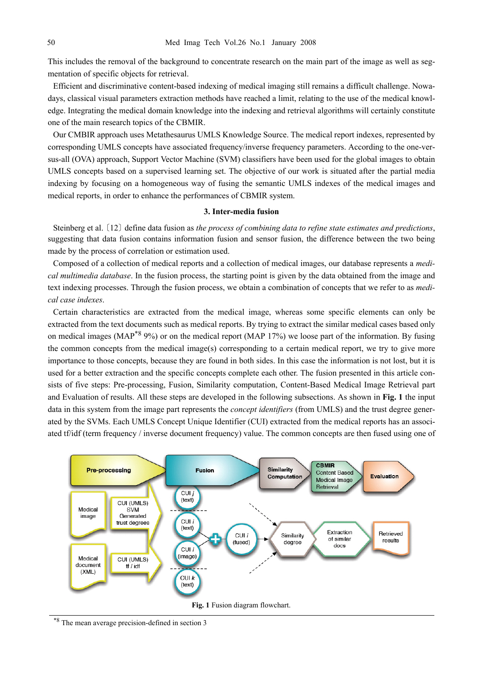This includes the removal of the background to concentrate research on the main part of the image as well as segmentation of specific objects for retrieval.

Efficient and discriminative content-based indexing of medical imaging still remains a difficult challenge. Nowadays, classical visual parameters extraction methods have reached a limit, relating to the use of the medical knowledge. Integrating the medical domain knowledge into the indexing and retrieval algorithms will certainly constitute one of the main research topics of the CBMIR.

Our CMBIR approach uses Metathesaurus UMLS Knowledge Source. The medical report indexes, represented by corresponding UMLS concepts have associated frequency/inverse frequency parameters. According to the one-versus-all (OVA) approach, Support Vector Machine (SVM) classifiers have been used for the global images to obtain UMLS concepts based on a supervised learning set. The objective of our work is situated after the partial media indexing by focusing on a homogeneous way of fusing the semantic UMLS indexes of the medical images and medical reports, in order to enhance the performances of CBMIR system.

#### **3. Inter-media fusion**

Steinberg et al.〔12〕 define data fusion as *the process of combining data to refine state estimates and predictions*, suggesting that data fusion contains information fusion and sensor fusion, the difference between the two being made by the process of correlation or estimation used.

Composed of a collection of medical reports and a collection of medical images, our database represents a *medical multimedia database*. In the fusion process, the starting point is given by the data obtained from the image and text indexing processes. Through the fusion process, we obtain a combination of concepts that we refer to as *medical case indexes*.

Certain characteristics are extracted from the medical image, whereas some specific elements can only be extracted from the text documents such as medical reports. By trying to extract the similar medical cases based only on medical images (MAP<sup>\*8</sup> 9%) or on the medical report (MAP 17%) we loose part of the information. By fusing the common concepts from the medical image(s) corresponding to a certain medical report, we try to give more importance to those concepts, because they are found in both sides. In this case the information is not lost, but it is used for a better extraction and the specific concepts complete each other. The fusion presented in this article consists of five steps: Pre-processing, Fusion, Similarity computation, Content-Based Medical Image Retrieval part and Evaluation of results. All these steps are developed in the following subsections. As shown in **Fig. 1** the input data in this system from the image part represents the *concept identifiers* (from UMLS) and the trust degree generated by the SVMs. Each UMLS Concept Unique Identifier (CUI) extracted from the medical reports has an associated tf/idf (term frequency / inverse document frequency) value. The common concepts are then fused using one of



\*8 The mean average precision-defined in section 3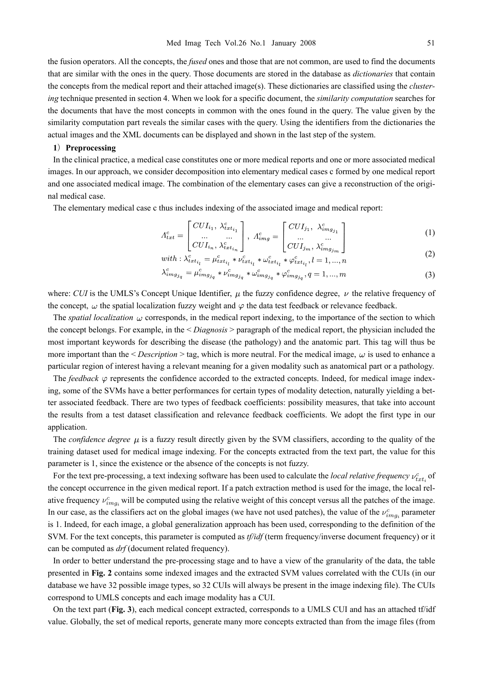the fusion operators. All the concepts, the *fused* ones and those that are not common, are used to find the documents that are similar with the ones in the query. Those documents are stored in the database as *dictionaries* that contain the concepts from the medical report and their attached image(s). These dictionaries are classified using the *clustering* technique presented in section 4. When we look for a specific document, the *similarity computation* searches for the documents that have the most concepts in common with the ones found in the query. The value given by the similarity computation part reveals the similar cases with the query. Using the identifiers from the dictionaries the actual images and the XML documents can be displayed and shown in the last step of the system.

#### **1**)**Preprocessing**

In the clinical practice, a medical case constitutes one or more medical reports and one or more associated medical images. In our approach, we consider decomposition into elementary medical cases c formed by one medical report and one associated medical image. The combination of the elementary cases can give a reconstruction of the original medical case.

The elementary medical case c thus includes indexing of the associated image and medical report:

$$
\Lambda_{txt}^c = \begin{bmatrix} CUI_{i_1}, \lambda_{txt_{i_1}}^c \\ \dots & \dots \\ CUI_{i_n}, \lambda_{txt_i}^c \end{bmatrix}, \ \Lambda_{img}^c = \begin{bmatrix} CUI_{j_1}, \lambda_{img_{j_1}}^c \\ \dots & \dots \\ CUI_{i_n}, \lambda_{img}^c \end{bmatrix}
$$
 (1)

$$
\begin{array}{c}\n\mathbf{L} \quad \cdots \quad \mathbf{L} \quad \mathbf{L} \quad \mathbf{L} \quad \mathbf{L} \quad \mathbf{L} \quad \mathbf{L} \quad \mathbf{L} \quad \mathbf{L} \quad \mathbf{L} \quad \mathbf{L} \quad \mathbf{L} \quad \mathbf{L} \quad \mathbf{L} \quad \mathbf{L} \quad \mathbf{L} \quad \mathbf{L} \quad \mathbf{L} \quad \mathbf{L} \quad \mathbf{L} \quad \mathbf{L} \quad \mathbf{L} \quad \mathbf{L} \quad \mathbf{L} \quad \mathbf{L} \quad \mathbf{L} \quad \mathbf{L} \quad \mathbf{L} \quad \mathbf{L} \quad \mathbf{L} \quad \mathbf{L} \quad \mathbf{L} \quad \mathbf{L} \quad \mathbf{L} \quad \mathbf{L} \quad \mathbf{L} \quad \mathbf{L} \quad \mathbf{L} \quad \mathbf{L} \quad \mathbf{L} \quad \mathbf{L} \quad \mathbf{L} \quad \mathbf{L} \quad \mathbf{L} \quad \mathbf{L} \quad \mathbf{L} \quad \mathbf{L} \quad \mathbf{L} \quad \mathbf{L} \quad \mathbf{L} \quad \mathbf{L} \quad \mathbf{L} \quad \mathbf{L} \quad \mathbf{L} \quad \mathbf{L} \quad \mathbf{L} \quad \mathbf{L} \quad \mathbf{L} \quad \mathbf{L} \quad \mathbf{L} \quad \mathbf{L} \quad \mathbf{L} \quad \mathbf{L} \quad \mathbf{L} \quad \mathbf{L} \quad \mathbf{L} \quad \mathbf{L} \quad \mathbf{L} \quad \mathbf{L} \quad \mathbf{L} \quad \mathbf{L} \quad \mathbf{L} \quad \mathbf{L} \quad \mathbf{L} \quad \mathbf{L} \quad \mathbf{L} \quad \mathbf{L} \quad \mathbf{L} \quad \mathbf{L} \quad \mathbf{L} \quad \mathbf{L} \quad \mathbf{L} \quad \mathbf{L} \quad \mathbf{L} \quad \mathbf{L} \quad \mathbf{L} \quad \mathbf{L} \quad \mathbf{L} \quad \mathbf{L} \quad \mathbf{L} \quad \mathbf{L} \quad \mathbf{L} \quad \mathbf{L} \quad \mathbf
$$

$$
\lambda_{img_{j_q}}^c = \mu_{img_{j_q}}^c * \nu_{img_{j_q}}^c * \omega_{img_{j_q}}^c * \varphi_{img_{j_q}}^c, q = 1, ..., m
$$
\n(3)

where: *CUI* is the UMLS's Concept Unique Identifier,  $\mu$  the fuzzy confidence degree,  $\nu$  the relative frequency of the concept,  $\omega$  the spatial localization fuzzy weight and  $\varphi$  the data test feedback or relevance feedback.

The *spatial localization*  $\omega$  corresponds, in the medical report indexing, to the importance of the section to which the concept belongs. For example, in the < *Diagnosis* > paragraph of the medical report, the physician included the most important keywords for describing the disease (the pathology) and the anatomic part. This tag will thus be more important than the  $\leq$  *Description*  $>$  tag, which is more neutral. For the medical image,  $\omega$  is used to enhance a particular region of interest having a relevant meaning for a given modality such as anatomical part or a pathology.

The *feedback*  $\varphi$  represents the confidence accorded to the extracted concepts. Indeed, for medical image indexing, some of the SVMs have a better performances for certain types of modality detection, naturally yielding a better associated feedback. There are two types of feedback coefficients: possibility measures, that take into account the results from a test dataset classification and relevance feedback coefficients. We adopt the first type in our application.

The *confidence degree*  $\mu$  is a fuzzy result directly given by the SVM classifiers, according to the quality of the training dataset used for medical image indexing. For the concepts extracted from the text part, the value for this parameter is 1, since the existence or the absence of the concepts is not fuzzy.

For the text pre-processing, a text indexing software has been used to calculate the *local relative frequency*  $v_{xx}^c$  of the concept occurrence in the given medical report. If a patch extraction method is used for the image, the local relative frequency  $v_{img}^c$  will be computed using the relative weight of this concept versus all the patches of the image. In our case, as the classifiers act on the global images (we have not used patches), the value of the  $v_{imaj}^c$  parameter is 1. Indeed, for each image, a global generalization approach has been used, corresponding to the definition of the SVM. For the text concepts, this parameter is computed as *tf/idf* (term frequency/inverse document frequency) or it can be computed as *drf* (document related frequency).

In order to better understand the pre-processing stage and to have a view of the granularity of the data, the table presented in **Fig. 2** contains some indexed images and the extracted SVM values correlated with the CUIs (in our database we have 32 possible image types, so 32 CUIs will always be present in the image indexing file). The CUIs correspond to UMLS concepts and each image modality has a CUI.

On the text part (**Fig. 3**), each medical concept extracted, corresponds to a UMLS CUI and has an attached tf/idf value. Globally, the set of medical reports, generate many more concepts extracted than from the image files (from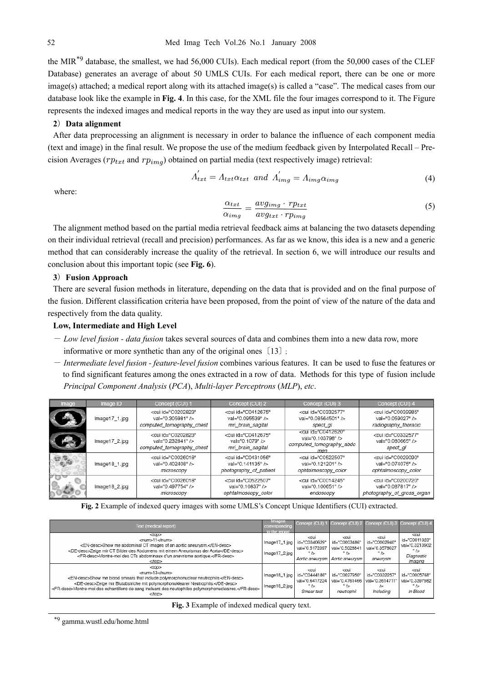the MIR<sup>\*9</sup> database, the smallest, we had 56,000 CUIs). Each medical report (from the 50,000 cases of the CLEF Database) generates an average of about 50 UMLS CUIs. For each medical report, there can be one or more image(s) attached; a medical report along with its attached image(s) is called a "case". The medical cases from our database look like the example in **Fig. 4**. In this case, for the XML file the four images correspond to it. The Figure represents the indexed images and medical reports in the way they are used as input into our system.

### **2**)**Data alignment**

After data preprocessing an alignment is necessary in order to balance the influence of each component media (text and image) in the final result. We propose the use of the medium feedback given by Interpolated Recall – Precision Averages ( $rp_{txt}$  and  $rp_{img}$ ) obtained on partial media (text respectively image) retrieval:

$$
A_{txt} = A_{txt} \alpha_{txt} \ and \ A_{img} = A_{img} \alpha_{img}
$$
\n(4)

where:

$$
\frac{\alpha_{txt}}{\alpha_{img}} = \frac{avg_{img} \cdot rp_{txt}}{avg_{txt} \cdot rp_{img}} \tag{5}
$$

The alignment method based on the partial media retrieval feedback aims at balancing the two datasets depending on their individual retrieval (recall and precision) performances. As far as we know, this idea is a new and a generic method that can considerably increase the quality of the retrieval. In section 6, we will introduce our results and conclusion about this important topic (see **Fig. 6**).

#### **3**)**Fusion Approach**

There are several fusion methods in literature, depending on the data that is provided and on the final purpose of the fusion. Different classification criteria have been proposed, from the point of view of the nature of the data and respectively from the data quality.

#### **Low, Intermediate and High Level**

- *Low level fusion data fusion* takes several sources of data and combines them into a new data row, more informative or more synthetic than any of the original ones〔13〕;
- *Intermediate level fusion feature-level fusion* combines various features. It can be used to fuse the features or to find significant features among the ones extracted in a row of data. Methods for this type of fusion include *Principal Component Analysis* (*PCA*), *Multi-layer Perceptrons* (*MLP*), *etc*.

| Image | Image ID         | Concept (CUI) 1                                                                    | Concept (CUI) 2                                                                 | Concept (CUI) 3                                                                           | Concept (CUI) 4                                                                     |
|-------|------------------|------------------------------------------------------------------------------------|---------------------------------------------------------------------------------|-------------------------------------------------------------------------------------------|-------------------------------------------------------------------------------------|
|       | $Image17_1$ .jpg | <cui <br="" id="C0202823">val="0.305981" /&gt;<br/>computed tomography chest</cui> | <cui <br="" id="C0412675">val="0.095539" /&gt;<br/>mri brain sagital</cui>      | <cui <br="" id="C0332577">val="0.08564501" /&gt;<br/>spect ql</cui>                       | <cui <br="" id="C0039985">val="0.059027" /&gt;<br/>radiography thoracic</cui>       |
|       | Image17_2.jpg    | <cui <br="" id="C0202823">val="0.232841" /&gt;<br/>computed tomography chest</cui> | <cui <br="" id="C0412675">val="0.1079" /&gt;<br/>mri brain sagital</cui>        | <cui <br="" id="C0412620">val="0.103798" /&gt;<br/>computed tomography abdo<br/>men</cui> | <cui <br="" id="C0332577">val="0.080665" /&gt;<br/>spect ql</cui>                   |
|       | Image18_1.jpg    | <cui <br="" id="C0026018">val="0.402408" /&gt;<br/>microscopy</cui>                | <cui <br="" id="C0431056">val="0.141135" /&gt;<br/>photography_of_patient</cui> | <cui <br="" id="C0522507">val="0.121201" /&gt;<br/>ophtalmoscopy color</cui>              | <cui <br="" id="C0029090">val="0.074075" /&gt;<br/>ophtalmoscopy color</cui>        |
|       | Image18_2.jpg    | <cui <br="" id="C0026018">val="0.497754" /&gt;<br/>microscopy</cui>                | <cui <br="" id="C0522507">val="0.10837" /&gt;<br/>ophtalmoscopy color</cui>     | <cui <br="" id="C0014245">val="0.100651" /&gt;<br/>endoscopy</cui>                        | <cui <br="" id="C0200720">val="0.087817" /&gt;<br/>photography_of_gross_organ</cui> |

**Fig. 2** Example of indexed query images with some UMLS's Concept Unique Identifiers (CUI) extracted.

| Text (medical report)                                                                                                                                                                                                                                                                                                    | <b>Images</b><br>corresponding<br>to the report | Concept (CUI)                                                                  |                                                                                               | Concept (CUI) 2 Concept (CUI) 3 Concept (CUI) 4                                       |                                                                                                       |
|--------------------------------------------------------------------------------------------------------------------------------------------------------------------------------------------------------------------------------------------------------------------------------------------------------------------------|-------------------------------------------------|--------------------------------------------------------------------------------|-----------------------------------------------------------------------------------------------|---------------------------------------------------------------------------------------|-------------------------------------------------------------------------------------------------------|
| $10D$<br><num>11</num><br><en-desc>Show me abdominal CT images of an aortic aneurysm.</en-desc><br><de-desc>Zeige mir CT Bilder des Abdomens mit einem Aneurismus der Aorta</de-desc><br><fr-desc>Montre-moi des CTs abdominaux d'un anevrisme aortique.</fr-desc><br>                                                   | $Image17_1$ .jpg<br>$Image17_2$ .jpg            | <cui<br>id="C0340629"<br/>val="0.5172397<br/><math>\rightarrow</math></cui<br> | <cui<br>id="C0003486"<br/>val="0.5028841<br/>"<br/>Aortic aneurvsm   Aortic aneurvsm</cui<br> | <cui<br>id="C0002940"<br/>val="0.3578027<br/>۰/۵<br/>aneurvsm</cui<br>                | <cui<br>id="C0011923"<br/>val="0.3213902<br/><math>"</math> /&gt;<br/>Diagnostic<br/>Imaging</cui<br> |
| <top><br/><num>13</num><br/><en-desc>Show me blood smears that include polymorphonuclear neutrophils.</en-desc><br/><de-desc>Zeige mir Blutabstriche mit polymorphonuklearer Neutrophils.</de-desc><br/><fr-desc>Montre-moi des echantillons de sang incluant des neutophiles polymorphonucleaires.</fr-desc><br/></top> | Image 18_1.jpg<br>$Image18_2$ .jpg              | <cui<br>id="C0444186"<br/>val="0.6417224<br/>٠١,<br/>Smear test</cui<br>       | <cui<br>id="C0027950"<br/>val="0.4761466<br/><math>\sim</math> /&gt;<br/>neutrophil</cui<br>  | <cui<br>id="C0332257"<br/>val="0.3614711<br/><math>\sim</math><br/>Includina</cui<br> | <cui<br>id="C0005768"<br/>val="0.3397982<br/><math>"</math> /&gt;<br/>In Blood</cui<br>               |

**Fig. 3** Example of indexed medical query text.

\*9 gamma.wustl.edu/home.html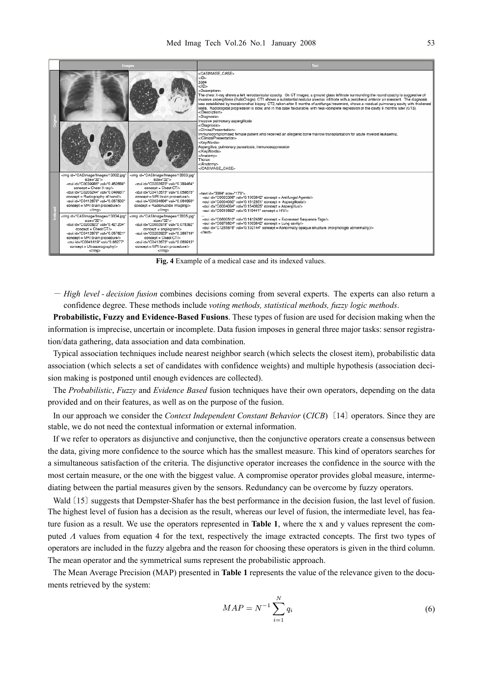| Images                                                                                                                                                                                                                                                                                                                                                                                                                                                                                                                                                                                                                                                                                                                                                                                                                                                                                                                                                                                                                                                                                                                                                                                                                                                                                                                               | Text                                                                                                                                                                                                                                                                                                                                                                                                                                                                                                                                                                                                                                                                                                                                                                                                                                                                                                                                                                                                                                                                                           |  |  |
|--------------------------------------------------------------------------------------------------------------------------------------------------------------------------------------------------------------------------------------------------------------------------------------------------------------------------------------------------------------------------------------------------------------------------------------------------------------------------------------------------------------------------------------------------------------------------------------------------------------------------------------------------------------------------------------------------------------------------------------------------------------------------------------------------------------------------------------------------------------------------------------------------------------------------------------------------------------------------------------------------------------------------------------------------------------------------------------------------------------------------------------------------------------------------------------------------------------------------------------------------------------------------------------------------------------------------------------|------------------------------------------------------------------------------------------------------------------------------------------------------------------------------------------------------------------------------------------------------------------------------------------------------------------------------------------------------------------------------------------------------------------------------------------------------------------------------------------------------------------------------------------------------------------------------------------------------------------------------------------------------------------------------------------------------------------------------------------------------------------------------------------------------------------------------------------------------------------------------------------------------------------------------------------------------------------------------------------------------------------------------------------------------------------------------------------------|--|--|
|                                                                                                                                                                                                                                                                                                                                                                                                                                                                                                                                                                                                                                                                                                                                                                                                                                                                                                                                                                                                                                                                                                                                                                                                                                                                                                                                      | <casimage case=""><br/>dD<br/>3384<br/>⊲/ID&gt;<br/><description><br/>The chest X-ray shows a left retroclavicular opacity. On CT images, a ground glass infiltrate surrounding the round opacity is suggestive of<br/>invasive aspergillosis (lhaloO sign). CT1 shows a substantial nodular alveolar infiltrate with a peripheral anterior air crescent. The diagnosis<br/>was established by transbronchial biopsy. CT2, taken after 6 months of antifungal treatment, shows a residual pulmonary cavity with thickened<br/>walls. Radiological progression is slow, and in this case favourable, with near-complete regression of the cavity 9 months later (CT3).<br/></description><br/><diagnosis><br/>Invasive pulmonary aspergillosis<br/></diagnosis><br/><clinicalpresentation><br/>Immunocompromised female patient who received an allogenic bone marrow transplantation for acute myeloid leukaemia.<br/></clinicalpresentation><br/><kevwords><br/>Aspercillus; pulmonary parasitosis; immunosuppression<br/><br/><anatomy><br/>Thorax<br/></anatomy><br/></kevwords></casimage> |  |  |
| <img <br="" id="CASImage/Images/13332.jpg"/> <img <br="" id="CASImage/Images/13333.jpg"/> $size="32"$<br>$size="32"$<br><br>cui id="C0039985" val="0.452688"<br><cui <br="" id="C0202823" val="0.389464">concept = Chest X-ray/&gt;<br/><math>connect = Chast CT \rightarrow</math><br/><br>cui id="C0203244" val="0.040931"<br/><cui <br="" id="C0412675" val="0.058675">concept = Radiography of hand/&gt;<br/>concept = MRI brain procedure/&gt;<br/><br>cui id="C0412675" val="0.057503"<br/><cui <br="" id="C0034606" val="0.064893">concept = MRI brain procedure/&gt;<br/>concept = Radionuclide Imaging/&gt;<br/><br><br/><img <br="" id="CASImage/Images/13334.jpg"/><ima <br="" id="CASImage/Images/13335.jpg"><math>size="32"</math><br/><math>size="32"</math><br/><br/>cui id="C0202823" val="0.421204"<br/><cui <br="" id="C0002978" val="0.076392">concept = Chest CT/&gt;<br/><math>concept = anaiogram/&gt;</math><br/><br>cui id="C0202823" val="0.366716"<br/><br/>cui id="C0412675" val="0.057621"<br/>concept = MRI brain procedure/&gt;<br><math>connect = Chapter CTA</math><br/><br>cui id="C0041618" val="0.06277"<br/><br/>cui id="C0412675" val="0.065915"<br/>concept = Ultrasonography/&gt;<br>concept = MRI brain procedure/&gt;<br/></br></br></br></br></cui></ima></br></cui></br></cui></br></cui> | <text id="3384" size="173"><br/><cui agents="" concept="Antifungal" id="C0003308" val="0.1003642"></cui><br/><cui concept="Aspergillosis/" id="C0004030" val="0.1612851"><br/><cui concept="Aspergillus/" id="C0004034" val="0.1540825"><br/><br/>cui id="C0019682" val="0.119441" concept = HIV/&gt;<br/><oui concept="Expressed" id="C0600510" sequence="" tags="" val="0.1412456"></oui><br/><cui cavity="" concept="Lung" id="C0878624" val="0.1003642"></cui><br/>chext&gt;</cui></cui></text>                                                                                                                                                                                                                                                                                                                                                                                                                                                                                                                                                                                            |  |  |

**Fig. 4** Example of a medical case and its indexed values.

- *High level - decision fusion* combines decisions coming from several experts. The experts can also return a confidence degree. These methods include *voting methods, statistical methods, fuzzy logic methods*.

**Probabilistic, Fuzzy and Evidence-Based Fusions**. These types of fusion are used for decision making when the information is imprecise, uncertain or incomplete. Data fusion imposes in general three major tasks: sensor registration/data gathering, data association and data combination.

Typical association techniques include nearest neighbor search (which selects the closest item), probabilistic data association (which selects a set of candidates with confidence weights) and multiple hypothesis (association decision making is postponed until enough evidences are collected).

The *Probabilistic*, *Fuzzy* and *Evidence Based* fusion techniques have their own operators, depending on the data provided and on their features, as well as on the purpose of the fusion.

In our approach we consider the *Context Independent Constant Behavior* (*CICB*)〔14〕 operators. Since they are stable, we do not need the contextual information or external information.

If we refer to operators as disjunctive and conjunctive, then the conjunctive operators create a consensus between the data, giving more confidence to the source which has the smallest measure. This kind of operators searches for a simultaneous satisfaction of the criteria. The disjunctive operator increases the confidence in the source with the most certain measure, or the one with the biggest value. A compromise operator provides global measure, intermediating between the partial measures given by the sensors. Redundancy can be overcome by fuzzy operators.

Wald [15] suggests that Dempster-Shafer has the best performance in the decision fusion, the last level of fusion. The highest level of fusion has a decision as the result, whereas our level of fusion, the intermediate level, has feature fusion as a result. We use the operators represented in **Table 1**, where the x and y values represent the computed Λ values from equation 4 for the text, respectively the image extracted concepts. The first two types of operators are included in the fuzzy algebra and the reason for choosing these operators is given in the third column. The mean operator and the symmetrical sums represent the probabilistic approach.

The Mean Average Precision (MAP) presented in **Table 1** represents the value of the relevance given to the documents retrieved by the system:

$$
MAP = N^{-1} \sum_{i=1}^{N} q_i
$$
\n
$$
(6)
$$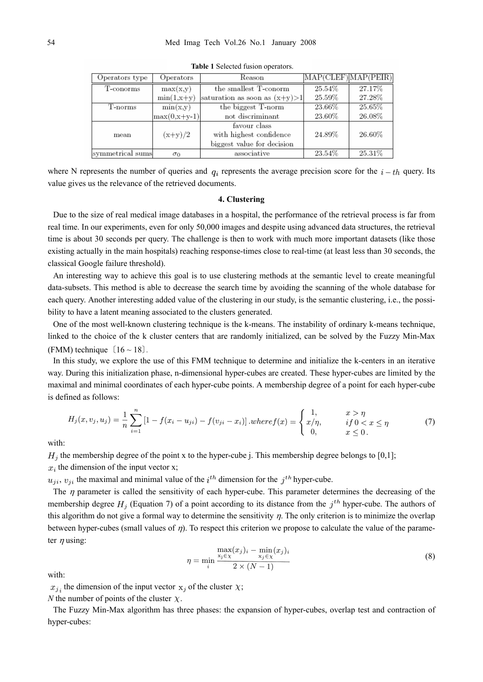| Operators type   | Operators      | Reason                            | MAP(CLEF) MAP(PEIR) |        |
|------------------|----------------|-----------------------------------|---------------------|--------|
| T-conorms        | max(x,y)       | the smallest T-conorm             | 25.54%              | 27.17% |
|                  | $min(1, x+y)$  | saturation as soon as $(x+y) > 1$ | 25.59%              | 27.28% |
| T-norms          | min(x,y)       | the biggest T-norm                | 23.66%              | 25.65% |
|                  | $max(0,x+y-1)$ | not discriminant                  | 23.60%              | 26.08% |
|                  |                | favour class                      |                     |        |
| mean             | $(x+y)/2$      | with highest confidence           | 24.89%              | 26.60% |
|                  |                | biggest value for decision        |                     |        |
| symmetrical sums | $\sigma_0$     | associative                       | 23.54%              | 25.31% |

**Table 1** Selected fusion operators.

where N represents the number of queries and  $q_i$  represents the average precision score for the  $i-th$  query. Its value gives us the relevance of the retrieved documents.

#### **4. Clustering**

Due to the size of real medical image databases in a hospital, the performance of the retrieval process is far from real time. In our experiments, even for only 50,000 images and despite using advanced data structures, the retrieval time is about 30 seconds per query. The challenge is then to work with much more important datasets (like those existing actually in the main hospitals) reaching response-times close to real-time (at least less than 30 seconds, the classical Google failure threshold).

An interesting way to achieve this goal is to use clustering methods at the semantic level to create meaningful data-subsets. This method is able to decrease the search time by avoiding the scanning of the whole database for each query. Another interesting added value of the clustering in our study, is the semantic clustering, i.e., the possibility to have a latent meaning associated to the clusters generated.

One of the most well-known clustering technique is the k-means. The instability of ordinary k-means technique, linked to the choice of the k cluster centers that are randomly initialized, can be solved by the Fuzzy Min-Max (FMM) technique  $[16 \sim 18]$ .

In this study, we explore the use of this FMM technique to determine and initialize the k-centers in an iterative way. During this initialization phase, n-dimensional hyper-cubes are created. These hyper-cubes are limited by the maximal and minimal coordinates of each hyper-cube points. A membership degree of a point for each hyper-cube is defined as follows:

$$
H_j(x, v_j, u_j) = \frac{1}{n} \sum_{i=1}^n \left[ 1 - f(x_i - u_{ji}) - f(v_{ji} - x_i) \right] \cdot where f(x) = \begin{cases} 1, & x > \eta \\ x/\eta, & if 0 < x \le \eta \\ 0, & x \le 0. \end{cases}
$$
(7)

with:

 $H_i$  the membership degree of the point x to the hyper-cube j. This membership degree belongs to [0,1];  $x_i$  the dimension of the input vector x;

 $u_{ji}$ ,  $v_{ji}$  the maximal and minimal value of the  $i^{th}$  dimension for the  $j^{th}$  hyper-cube.

The  $\eta$  parameter is called the sensitivity of each hyper-cube. This parameter determines the decreasing of the membership degree  $H_i$  (Equation 7) of a point according to its distance from the  $j<sup>th</sup>$  hyper-cube. The authors of this algorithm do not give a formal way to determine the sensitivity  $\eta$ . The only criterion is to minimize the overlap between hyper-cubes (small values of η). To respect this criterion we propose to calculate the value of the parameter  $\eta$  using:

$$
\eta = \min_{i} \frac{\max(x_j)_i - \min_{x_j \in \chi} (x_j)_i}{2 \times (N-1)}
$$
(8)

with:

 $x_{j,i}$  the dimension of the input vector  $x_j$  of the cluster  $\chi$ ;

*N* the number of points of the cluster  $\chi$ .

The Fuzzy Min-Max algorithm has three phases: the expansion of hyper-cubes, overlap test and contraction of hyper-cubes: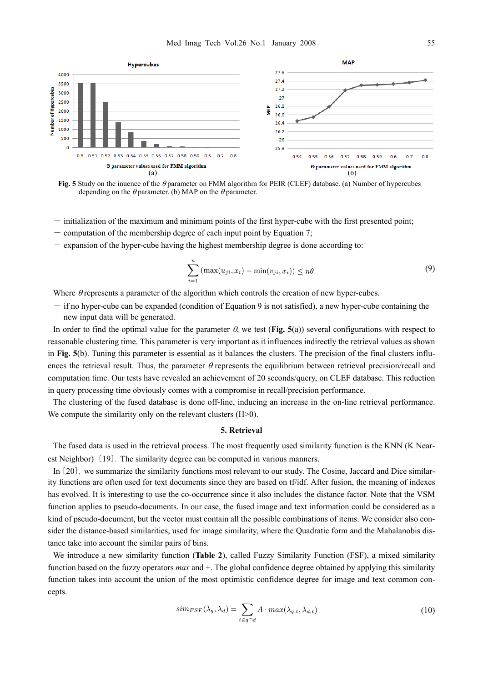

**Fig. 5** Study on the inuence of the θ parameter on FMM algorithm for PEIR (CLEF) database. (a) Number of hypercubes depending on the  $\theta$  parameter. (b) MAP on the  $\theta$  parameter.

- initialization of the maximum and minimum points of the first hyper-cube with the first presented point;
- $-$  computation of the membership degree of each input point by Equation 7;
- $-$  expansion of the hyper-cube having the highest membership degree is done according to:

$$
\sum_{i=1}^{n} \left( \max(u_{ji}, x_i) - \min(v_{ji}, x_i) \right) \leq n\theta \tag{9}
$$

Where  $\theta$  represents a parameter of the algorithm which controls the creation of new hyper-cubes.

 $-$  if no hyper-cube can be expanded (condition of Equation 9 is not satisfied), a new hyper-cube containing the new input data will be generated.

In order to find the optimal value for the parameter  $\theta$ , we test (**Fig. 5**(a)) several configurations with respect to reasonable clustering time. This parameter is very important as it influences indirectly the retrieval values as shown in **Fig. 5**(b). Tuning this parameter is essential as it balances the clusters. The precision of the final clusters influences the retrieval result. Thus, the parameter  $\theta$  represents the equilibrium between retrieval precision/recall and computation time. Our tests have revealed an achievement of 20 seconds/query, on CLEF database. This reduction in query processing time obviously comes with a compromise in recall/precision performance.

The clustering of the fused database is done off-line, inducing an increase in the on-line retrieval performance. We compute the similarity only on the relevant clusters (H>0).

#### **5. Retrieval**

The fused data is used in the retrieval process. The most frequently used similarity function is the KNN (K Nearest Neighbor)〔19〕. The similarity degree can be computed in various manners.

In〔20〕, we summarize the similarity functions most relevant to our study. The Cosine, Jaccard and Dice similarity functions are often used for text documents since they are based on tf/idf. After fusion, the meaning of indexes has evolved. It is interesting to use the co-occurrence since it also includes the distance factor. Note that the VSM function applies to pseudo-documents. In our case, the fused image and text information could be considered as a kind of pseudo-document, but the vector must contain all the possible combinations of items. We consider also consider the distance-based similarities, used for image similarity, where the Quadratic form and the Mahalanobis distance take into account the similar pairs of bins.

We introduce a new similarity function (**Table 2**), called Fuzzy Similarity Function (FSF), a mixed similarity function based on the fuzzy operators *max* and +. The global confidence degree obtained by applying this similarity function takes into account the union of the most optimistic confidence degree for image and text common concepts.

$$
sim_{FSF}(\lambda_q, \lambda_d) = \sum_{t \in q \cap d} A \cdot max(\lambda_{q,t}, \lambda_{d,t})
$$
\n(10)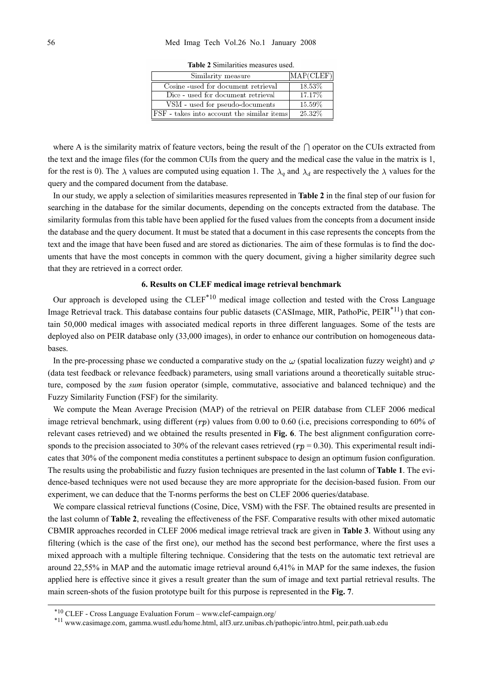| Similarity measure                         | MAP(CLEF) |
|--------------------------------------------|-----------|
| Cosine -used for document retrieval        | $18.53\%$ |
| Dice - used for document retrieval         | 17.17%    |
| VSM - used for pseudo-documents            | 15.59%    |
| FSF - takes into account the similar items | 25.32%    |

**Table 2** Similarities measures used.

where A is the similarity matrix of feature vectors, being the result of the  $\cap$  operator on the CUIs extracted from the text and the image files (for the common CUIs from the query and the medical case the value in the matrix is 1, for the rest is 0). The  $\lambda$  values are computed using equation 1. The  $\lambda_q$  and  $\lambda_d$  are respectively the  $\lambda$  values for the query and the compared document from the database.

In our study, we apply a selection of similarities measures represented in **Table 2** in the final step of our fusion for searching in the database for the similar documents, depending on the concepts extracted from the database. The similarity formulas from this table have been applied for the fused values from the concepts from a document inside the database and the query document. It must be stated that a document in this case represents the concepts from the text and the image that have been fused and are stored as dictionaries. The aim of these formulas is to find the documents that have the most concepts in common with the query document, giving a higher similarity degree such that they are retrieved in a correct order.

#### **6. Results on CLEF medical image retrieval benchmark**

Our approach is developed using the  $CLEF<sup>*10</sup>$  medical image collection and tested with the Cross Language Image Retrieval track. This database contains four public datasets (CASImage, MIR, PathoPic, PEIR<sup>\*11</sup>) that contain 50,000 medical images with associated medical reports in three different languages. Some of the tests are deployed also on PEIR database only (33,000 images), in order to enhance our contribution on homogeneous databases.

In the pre-processing phase we conducted a comparative study on the  $\omega$  (spatial localization fuzzy weight) and  $\varphi$ (data test feedback or relevance feedback) parameters, using small variations around a theoretically suitable structure, composed by the *sum* fusion operator (simple, commutative, associative and balanced technique) and the Fuzzy Similarity Function (FSF) for the similarity.

We compute the Mean Average Precision (MAP) of the retrieval on PEIR database from CLEF 2006 medical image retrieval benchmark, using different  $(rp)$  values from 0.00 to 0.60 (i.e, precisions corresponding to 60% of relevant cases retrieved) and we obtained the results presented in **Fig. 6**. The best alignment configuration corresponds to the precision associated to 30% of the relevant cases retrieved ( $rp = 0.30$ ). This experimental result indicates that 30% of the component media constitutes a pertinent subspace to design an optimum fusion configuration. The results using the probabilistic and fuzzy fusion techniques are presented in the last column of **Table 1**. The evidence-based techniques were not used because they are more appropriate for the decision-based fusion. From our experiment, we can deduce that the T-norms performs the best on CLEF 2006 queries/database.

We compare classical retrieval functions (Cosine, Dice, VSM) with the FSF. The obtained results are presented in the last column of **Table 2**, revealing the effectiveness of the FSF. Comparative results with other mixed automatic CBMIR approaches recorded in CLEF 2006 medical image retrieval track are given in **Table 3**. Without using any filtering (which is the case of the first one), our method has the second best performance, where the first uses a mixed approach with a multiple filtering technique. Considering that the tests on the automatic text retrieval are around 22,55% in MAP and the automatic image retrieval around 6,41% in MAP for the same indexes, the fusion applied here is effective since it gives a result greater than the sum of image and text partial retrieval results. The main screen-shots of the fusion prototype built for this purpose is represented in the **Fig. 7**.

<sup>\*10</sup> CLEF - Cross Language Evaluation Forum – www.clef-campaign.org/ \*11 www.casimage.com, gamma.wustl.edu/home.html, alf3.urz.unibas.ch/pathopic/intro.html, peir.path.uab.edu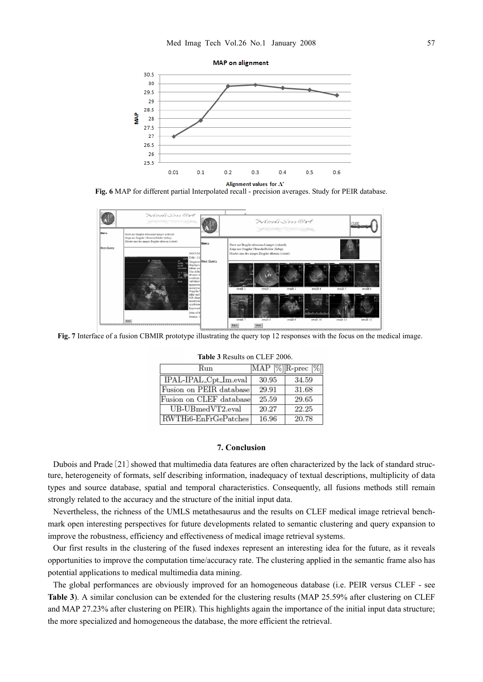

**Fig. 6** MAP for different partial Interpolated recall - precision averages. Study for PEIR database.



**Fig. 7** Interface of a fusion CBMIR prototype illustrating the query top 12 responses with the focus on the medical image.

| Run                     |       | MAP $[\%]$ R-prec $[\%]$ |
|-------------------------|-------|--------------------------|
| IPAL-IPAL_Cpt_Im.eval   | 30.95 | 34.59                    |
| Fusion on PEIR database | 29.91 | 31.68                    |
| Fusion on CLEF database | 25.59 | 29.65                    |
| $UB-UBmedVT2$ .eval     | 20.27 | 22.25                    |
| RWTHi6-EnFrGePatches    | 16.96 | 20.78                    |

#### **7. Conclusion**

Dubois and Prade〔21〕showed that multimedia data features are often characterized by the lack of standard structure, heterogeneity of formats, self describing information, inadequacy of textual descriptions, multiplicity of data types and source database, spatial and temporal characteristics. Consequently, all fusions methods still remain strongly related to the accuracy and the structure of the initial input data.

Nevertheless, the richness of the UMLS metathesaurus and the results on CLEF medical image retrieval benchmark open interesting perspectives for future developments related to semantic clustering and query expansion to improve the robustness, efficiency and effectiveness of medical image retrieval systems.

Our first results in the clustering of the fused indexes represent an interesting idea for the future, as it reveals opportunities to improve the computation time/accuracy rate. The clustering applied in the semantic frame also has potential applications to medical multimedia data mining.

The global performances are obviously improved for an homogeneous database (i.e. PEIR versus CLEF - see **Table 3**). A similar conclusion can be extended for the clustering results (MAP 25.59% after clustering on CLEF and MAP 27.23% after clustering on PEIR). This highlights again the importance of the initial input data structure; the more specialized and homogeneous the database, the more efficient the retrieval.